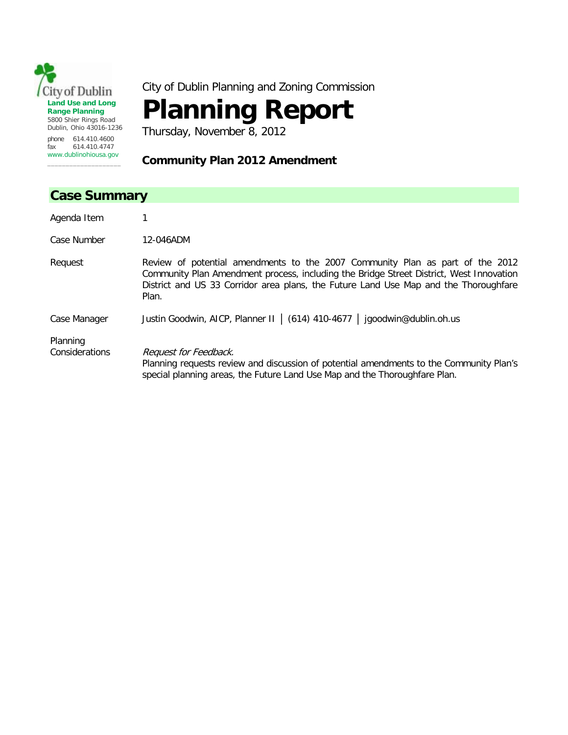

City of Dublin Planning and Zoning Commission

## **Planning Report**

Thursday, November 8, 2012

## **Community Plan 2012 Amendment**

| <b>Case Summary</b>        |                                                                                                                                                                                                                                                                           |  |
|----------------------------|---------------------------------------------------------------------------------------------------------------------------------------------------------------------------------------------------------------------------------------------------------------------------|--|
| Agenda Item                |                                                                                                                                                                                                                                                                           |  |
| Case Number                | 12-046ADM                                                                                                                                                                                                                                                                 |  |
| Request                    | Review of potential amendments to the 2007 Community Plan as part of the 2012<br>Community Plan Amendment process, including the Bridge Street District, West Innovation<br>District and US 33 Corridor area plans, the Future Land Use Map and the Thoroughfare<br>Plan. |  |
| Case Manager               | Justin Goodwin, AICP, Planner II   (614) 410-4677   jgoodwin@dublin.oh.us                                                                                                                                                                                                 |  |
| Planning<br>Considerations | Request for Feedback.<br>Planning requests review and discussion of potential amendments to the Community Plan's<br>special planning areas, the Future Land Use Map and the Thoroughfare Plan.                                                                            |  |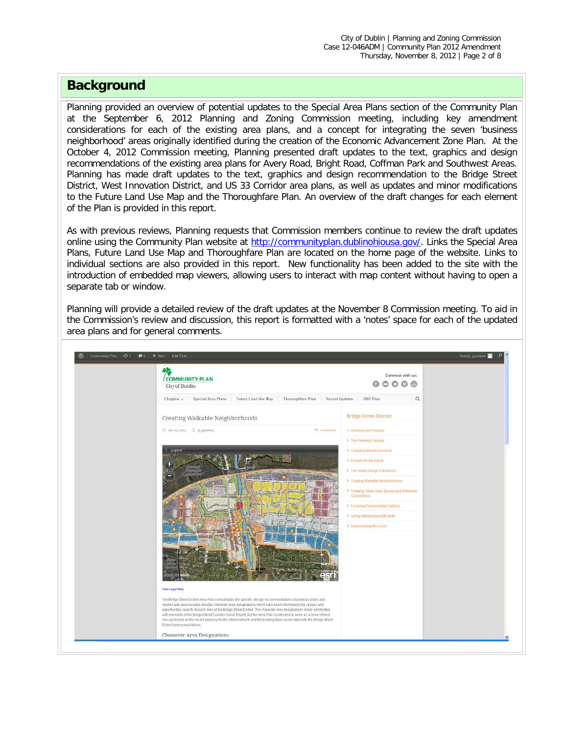## **Background**

Planning provided an overview of potential updates to the Special Area Plans section of the Community Plan at the September 6, 2012 Planning and Zoning Commission meeting, including key amendment considerations for each of the existing area plans, and a concept for integrating the seven 'business neighborhood' areas originally identified during the creation of the Economic Advancement Zone Plan. At the October 4, 2012 Commission meeting, Planning presented draft updates to the text, graphics and design recommendations of the existing area plans for Avery Road, Bright Road, Coffman Park and Southwest Areas. Planning has made draft updates to the text, graphics and design recommendation to the Bridge Street District, West Innovation District, and US 33 Corridor area plans, as well as updates and minor modifications to the Future Land Use Map and the Thoroughfare Plan. An overview of the draft changes for each element of the Plan is provided in this report.

As with previous reviews, Planning requests that Commission members continue to review the draft updates online using the Community Plan website at [http://communityplan.dublinohiousa.gov/.](http://communityplan.dublinohiousa.gov/) Links the Special Area Plans, Future Land Use Map and Thoroughfare Plan are located on the home page of the website. Links to individual sections are also provided in this report. New functionality has been added to the site with the introduction of embedded map viewers, allowing users to interact with map content without having to open a separate tab or window.

Planning will provide a detailed review of the draft updates at the November 8 Commission meeting. To aid in the Commission's review and discussion, this report is formatted with a 'notes' space for each of the updated area plans and for general comments.

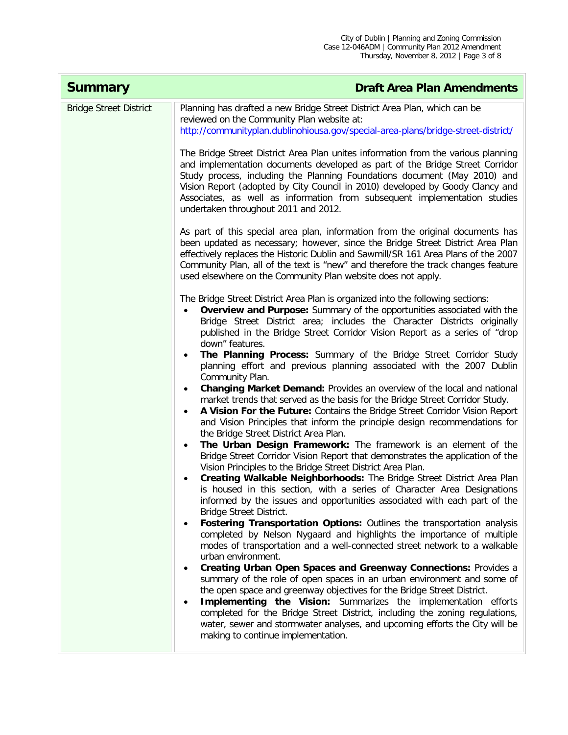| <b>Summary</b>                | <b>Draft Area Plan Amendments</b>                                                                                                                                                                                                                                                                                                                                                                                                                                                                                   |
|-------------------------------|---------------------------------------------------------------------------------------------------------------------------------------------------------------------------------------------------------------------------------------------------------------------------------------------------------------------------------------------------------------------------------------------------------------------------------------------------------------------------------------------------------------------|
| <b>Bridge Street District</b> | Planning has drafted a new Bridge Street District Area Plan, which can be<br>reviewed on the Community Plan website at:<br>http://communityplan.dublinohiousa.gov/special-area-plans/bridge-street-district/                                                                                                                                                                                                                                                                                                        |
|                               | The Bridge Street District Area Plan unites information from the various planning<br>and implementation documents developed as part of the Bridge Street Corridor<br>Study process, including the Planning Foundations document (May 2010) and<br>Vision Report (adopted by City Council in 2010) developed by Goody Clancy and<br>Associates, as well as information from subsequent implementation studies<br>undertaken throughout 2011 and 2012.                                                                |
|                               | As part of this special area plan, information from the original documents has<br>been updated as necessary; however, since the Bridge Street District Area Plan<br>effectively replaces the Historic Dublin and Sawmill/SR 161 Area Plans of the 2007<br>Community Plan, all of the text is "new" and therefore the track changes feature<br>used elsewhere on the Community Plan website does not apply.                                                                                                          |
|                               | The Bridge Street District Area Plan is organized into the following sections:<br>Overview and Purpose: Summary of the opportunities associated with the<br>Bridge Street District area; includes the Character Districts originally<br>published in the Bridge Street Corridor Vision Report as a series of "drop<br>down" features.                                                                                                                                                                               |
|                               | The Planning Process: Summary of the Bridge Street Corridor Study<br>planning effort and previous planning associated with the 2007 Dublin<br>Community Plan.                                                                                                                                                                                                                                                                                                                                                       |
|                               | Changing Market Demand: Provides an overview of the local and national<br>$\bullet$<br>market trends that served as the basis for the Bridge Street Corridor Study.<br>A Vision For the Future: Contains the Bridge Street Corridor Vision Report<br>$\bullet$<br>and Vision Principles that inform the principle design recommendations for<br>the Bridge Street District Area Plan.                                                                                                                               |
|                               | The Urban Design Framework: The framework is an element of the<br>$\bullet$<br>Bridge Street Corridor Vision Report that demonstrates the application of the<br>Vision Principles to the Bridge Street District Area Plan.<br>Creating Walkable Neighborhoods: The Bridge Street District Area Plan<br>$\bullet$<br>is housed in this section, with a series of Character Area Designations<br>informed by the issues and opportunities associated with each part of the<br>Bridge Street District.                 |
|                               | Fostering Transportation Options: Outlines the transportation analysis<br>$\bullet$<br>completed by Nelson Nygaard and highlights the importance of multiple<br>modes of transportation and a well-connected street network to a walkable<br>urban environment.                                                                                                                                                                                                                                                     |
|                               | Creating Urban Open Spaces and Greenway Connections: Provides a<br>$\bullet$<br>summary of the role of open spaces in an urban environment and some of<br>the open space and greenway objectives for the Bridge Street District.<br>Implementing the Vision: Summarizes the implementation efforts<br>$\bullet$<br>completed for the Bridge Street District, including the zoning regulations,<br>water, sewer and stormwater analyses, and upcoming efforts the City will be<br>making to continue implementation. |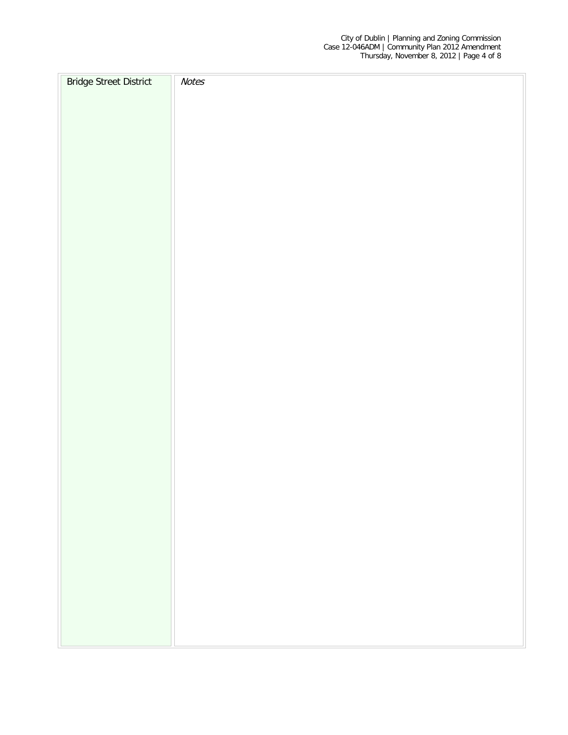| <b>Bridge Street District</b> | <b>Notes</b> |
|-------------------------------|--------------|
|                               |              |
|                               |              |
|                               |              |
|                               |              |
|                               |              |
|                               |              |
|                               |              |
|                               |              |
|                               |              |
|                               |              |
|                               |              |
|                               |              |
|                               |              |
|                               |              |
|                               |              |
|                               |              |
|                               |              |
|                               |              |
|                               |              |
|                               |              |
|                               |              |
|                               |              |
|                               |              |
|                               |              |
|                               |              |
|                               |              |
|                               |              |
|                               |              |
|                               |              |
|                               |              |
|                               |              |
|                               |              |
|                               |              |
|                               |              |
|                               |              |
|                               |              |
|                               |              |
|                               |              |
|                               |              |
|                               |              |
|                               |              |
|                               |              |
|                               |              |
|                               |              |
|                               |              |
|                               |              |
|                               |              |
|                               |              |
|                               |              |
|                               |              |
|                               |              |
|                               |              |
|                               |              |
|                               |              |
|                               |              |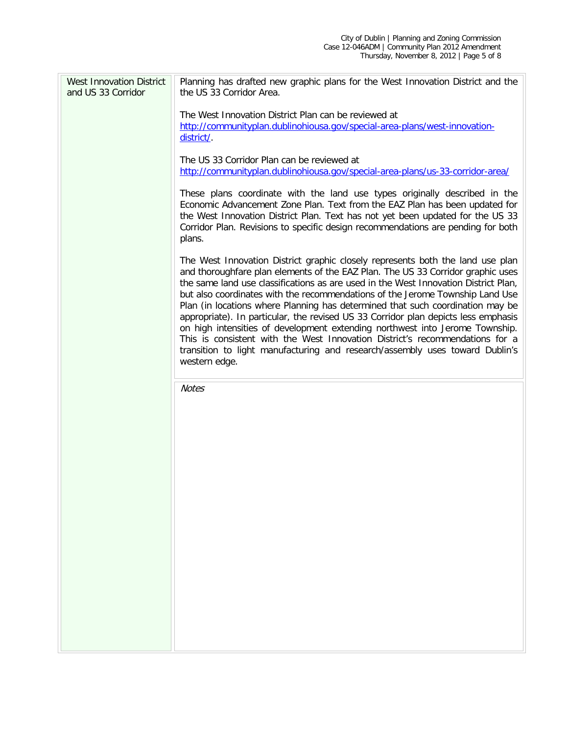| <b>West Innovation District</b><br>and US 33 Corridor | Planning has drafted new graphic plans for the West Innovation District and the<br>the US 33 Corridor Area.                                                                                                                                                                                                                                                                                                                                                                                                                                                                                                                                                                                                                                                                        |
|-------------------------------------------------------|------------------------------------------------------------------------------------------------------------------------------------------------------------------------------------------------------------------------------------------------------------------------------------------------------------------------------------------------------------------------------------------------------------------------------------------------------------------------------------------------------------------------------------------------------------------------------------------------------------------------------------------------------------------------------------------------------------------------------------------------------------------------------------|
|                                                       | The West Innovation District Plan can be reviewed at<br>http://communityplan.dublinohiousa.gov/special-area-plans/west-innovation-<br>district/.                                                                                                                                                                                                                                                                                                                                                                                                                                                                                                                                                                                                                                   |
|                                                       | The US 33 Corridor Plan can be reviewed at<br>http://communityplan.dublinohiousa.gov/special-area-plans/us-33-corridor-area/                                                                                                                                                                                                                                                                                                                                                                                                                                                                                                                                                                                                                                                       |
|                                                       | These plans coordinate with the land use types originally described in the<br>Economic Advancement Zone Plan. Text from the EAZ Plan has been updated for<br>the West Innovation District Plan. Text has not yet been updated for the US 33<br>Corridor Plan. Revisions to specific design recommendations are pending for both<br>plans.                                                                                                                                                                                                                                                                                                                                                                                                                                          |
|                                                       | The West Innovation District graphic closely represents both the land use plan<br>and thoroughfare plan elements of the EAZ Plan. The US 33 Corridor graphic uses<br>the same land use classifications as are used in the West Innovation District Plan,<br>but also coordinates with the recommendations of the Jerome Township Land Use<br>Plan (in locations where Planning has determined that such coordination may be<br>appropriate). In particular, the revised US 33 Corridor plan depicts less emphasis<br>on high intensities of development extending northwest into Jerome Township.<br>This is consistent with the West Innovation District's recommendations for a<br>transition to light manufacturing and research/assembly uses toward Dublin's<br>western edge. |
|                                                       | <b>Notes</b>                                                                                                                                                                                                                                                                                                                                                                                                                                                                                                                                                                                                                                                                                                                                                                       |
|                                                       |                                                                                                                                                                                                                                                                                                                                                                                                                                                                                                                                                                                                                                                                                                                                                                                    |
|                                                       |                                                                                                                                                                                                                                                                                                                                                                                                                                                                                                                                                                                                                                                                                                                                                                                    |
|                                                       |                                                                                                                                                                                                                                                                                                                                                                                                                                                                                                                                                                                                                                                                                                                                                                                    |
|                                                       |                                                                                                                                                                                                                                                                                                                                                                                                                                                                                                                                                                                                                                                                                                                                                                                    |
|                                                       |                                                                                                                                                                                                                                                                                                                                                                                                                                                                                                                                                                                                                                                                                                                                                                                    |
|                                                       |                                                                                                                                                                                                                                                                                                                                                                                                                                                                                                                                                                                                                                                                                                                                                                                    |
|                                                       |                                                                                                                                                                                                                                                                                                                                                                                                                                                                                                                                                                                                                                                                                                                                                                                    |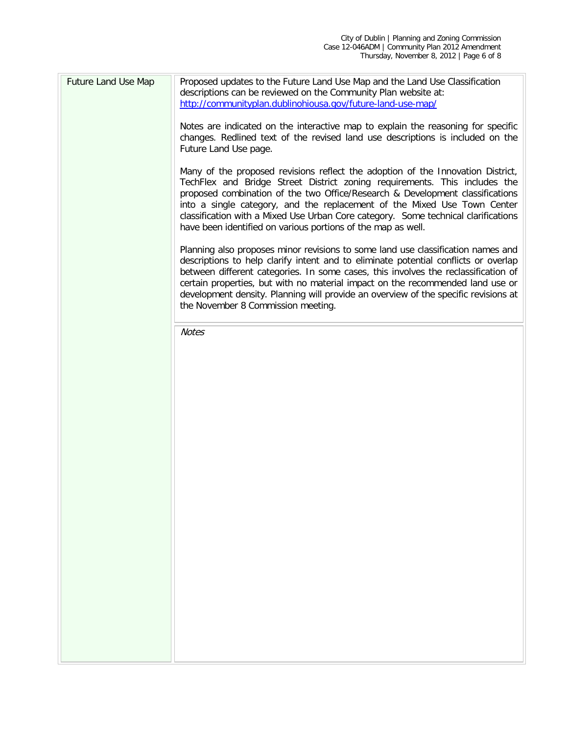| <b>Future Land Use Map</b> | Proposed updates to the Future Land Use Map and the Land Use Classification<br>descriptions can be reviewed on the Community Plan website at:<br>http://communityplan.dublinohiousa.gov/future-land-use-map/                                                                                                                                                                                                                                                                     |
|----------------------------|----------------------------------------------------------------------------------------------------------------------------------------------------------------------------------------------------------------------------------------------------------------------------------------------------------------------------------------------------------------------------------------------------------------------------------------------------------------------------------|
|                            | Notes are indicated on the interactive map to explain the reasoning for specific<br>changes. Redlined text of the revised land use descriptions is included on the<br>Future Land Use page.                                                                                                                                                                                                                                                                                      |
|                            | Many of the proposed revisions reflect the adoption of the Innovation District,<br>TechFlex and Bridge Street District zoning requirements. This includes the<br>proposed combination of the two Office/Research & Development classifications<br>into a single category, and the replacement of the Mixed Use Town Center<br>classification with a Mixed Use Urban Core category. Some technical clarifications<br>have been identified on various portions of the map as well. |
|                            | Planning also proposes minor revisions to some land use classification names and<br>descriptions to help clarify intent and to eliminate potential conflicts or overlap<br>between different categories. In some cases, this involves the reclassification of<br>certain properties, but with no material impact on the recommended land use or<br>development density. Planning will provide an overview of the specific revisions at<br>the November 8 Commission meeting.     |
|                            | <b>Notes</b>                                                                                                                                                                                                                                                                                                                                                                                                                                                                     |
|                            |                                                                                                                                                                                                                                                                                                                                                                                                                                                                                  |
|                            |                                                                                                                                                                                                                                                                                                                                                                                                                                                                                  |
|                            |                                                                                                                                                                                                                                                                                                                                                                                                                                                                                  |
|                            |                                                                                                                                                                                                                                                                                                                                                                                                                                                                                  |
|                            |                                                                                                                                                                                                                                                                                                                                                                                                                                                                                  |
|                            |                                                                                                                                                                                                                                                                                                                                                                                                                                                                                  |
|                            |                                                                                                                                                                                                                                                                                                                                                                                                                                                                                  |
|                            |                                                                                                                                                                                                                                                                                                                                                                                                                                                                                  |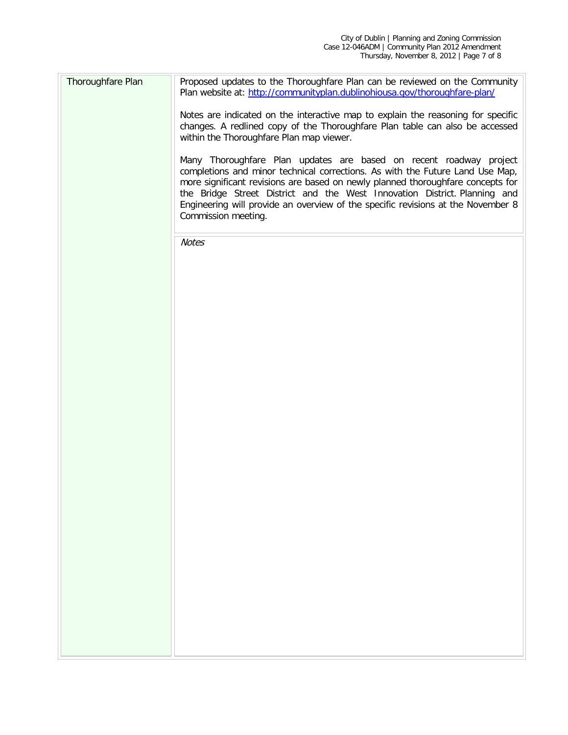| Thoroughfare Plan | Proposed updates to the Thoroughfare Plan can be reviewed on the Community<br>Plan website at: http://communityplan.dublinohiousa.gov/thoroughfare-plan/                                                                                                                                                                                                                                                                       |
|-------------------|--------------------------------------------------------------------------------------------------------------------------------------------------------------------------------------------------------------------------------------------------------------------------------------------------------------------------------------------------------------------------------------------------------------------------------|
|                   | Notes are indicated on the interactive map to explain the reasoning for specific<br>changes. A redlined copy of the Thoroughfare Plan table can also be accessed<br>within the Thoroughfare Plan map viewer.                                                                                                                                                                                                                   |
|                   | Many Thoroughfare Plan updates are based on recent roadway project<br>completions and minor technical corrections. As with the Future Land Use Map,<br>more significant revisions are based on newly planned thoroughfare concepts for<br>the Bridge Street District and the West Innovation District. Planning and<br>Engineering will provide an overview of the specific revisions at the November 8<br>Commission meeting. |
|                   | <b>Notes</b>                                                                                                                                                                                                                                                                                                                                                                                                                   |
|                   |                                                                                                                                                                                                                                                                                                                                                                                                                                |
|                   |                                                                                                                                                                                                                                                                                                                                                                                                                                |
|                   |                                                                                                                                                                                                                                                                                                                                                                                                                                |
|                   |                                                                                                                                                                                                                                                                                                                                                                                                                                |
|                   |                                                                                                                                                                                                                                                                                                                                                                                                                                |
|                   |                                                                                                                                                                                                                                                                                                                                                                                                                                |
|                   |                                                                                                                                                                                                                                                                                                                                                                                                                                |
|                   |                                                                                                                                                                                                                                                                                                                                                                                                                                |
|                   |                                                                                                                                                                                                                                                                                                                                                                                                                                |